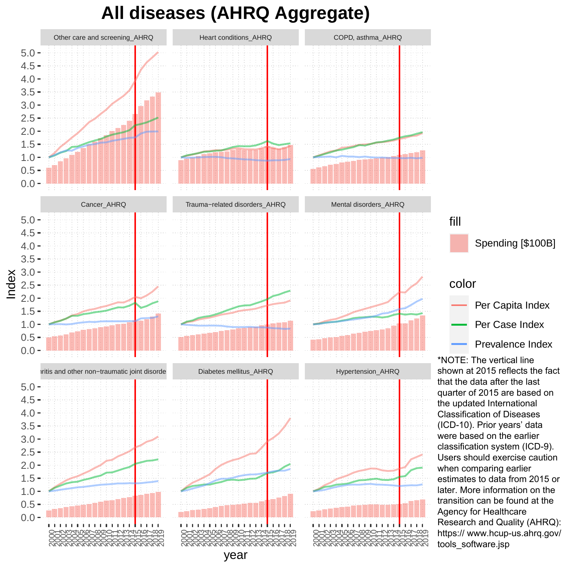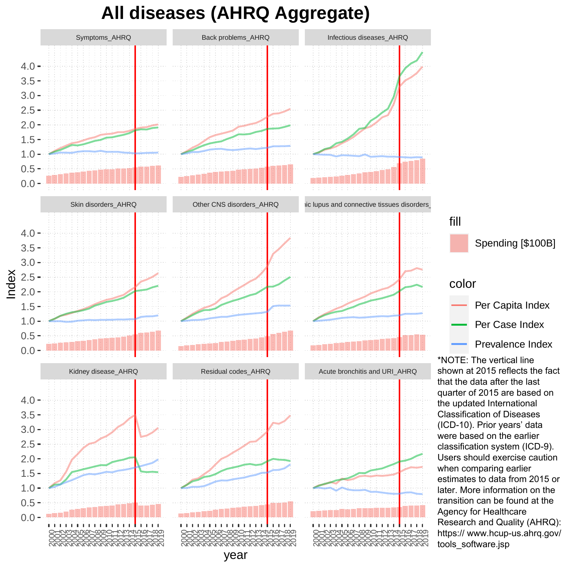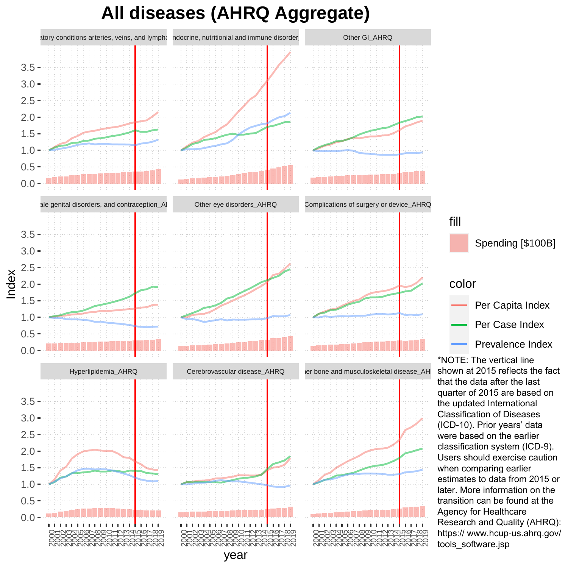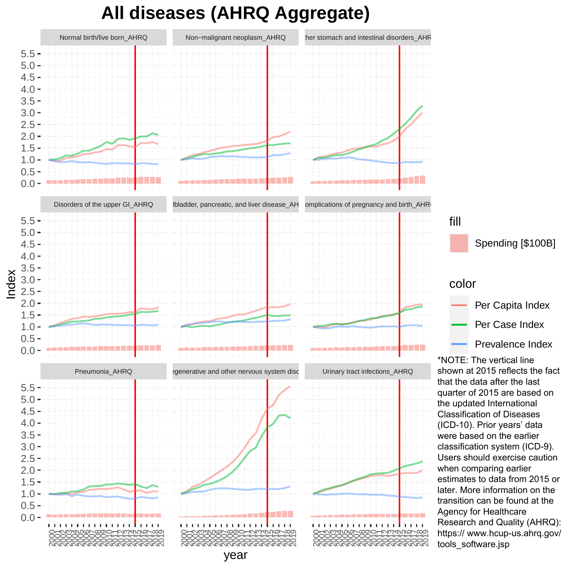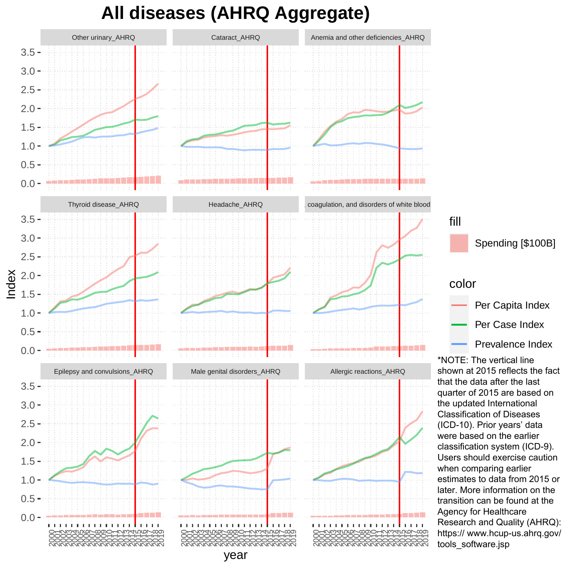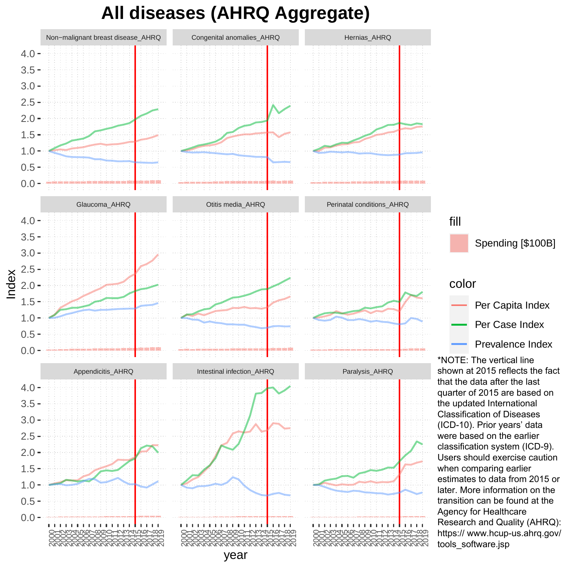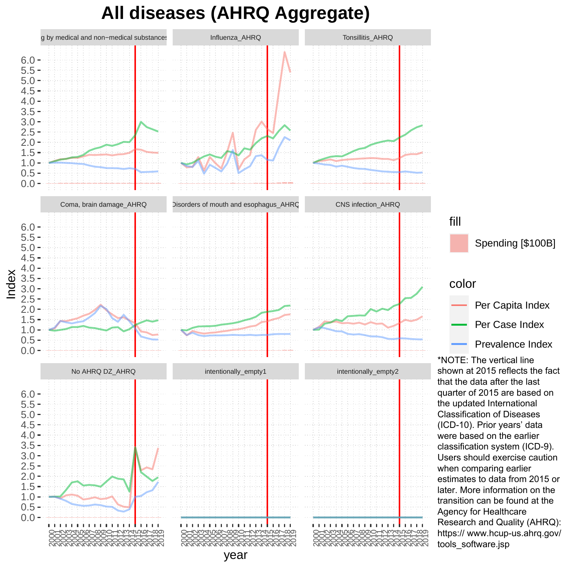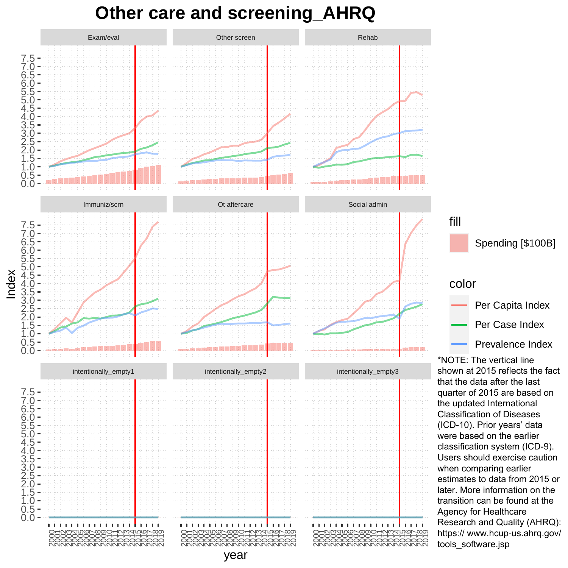#### **Other care and screening\_AHRQ**

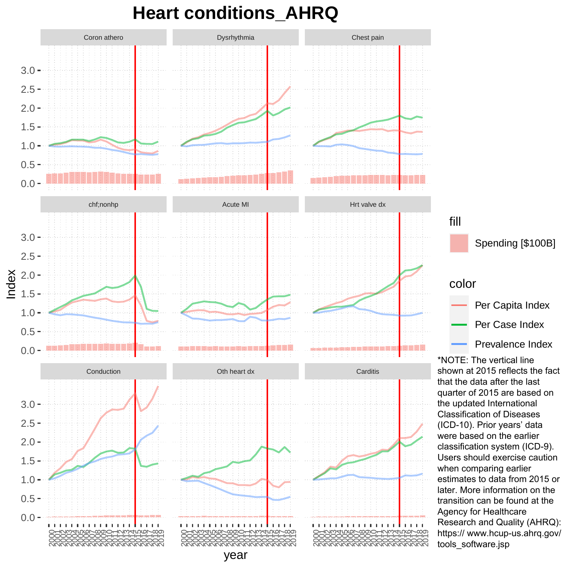### **Heart conditions\_AHRQ**

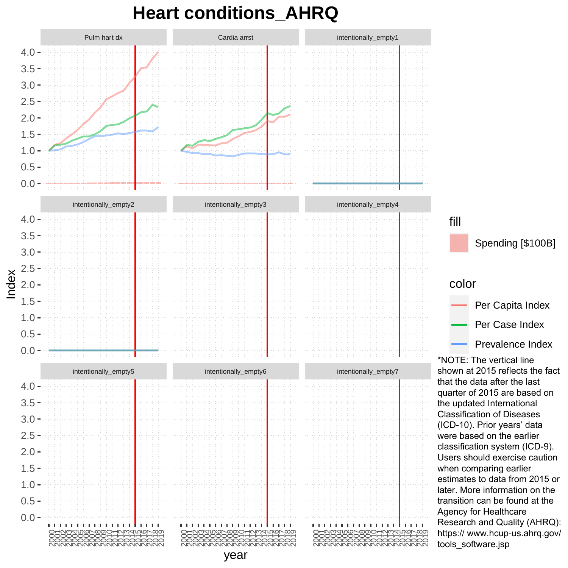### **Heart conditions\_AHRQ**

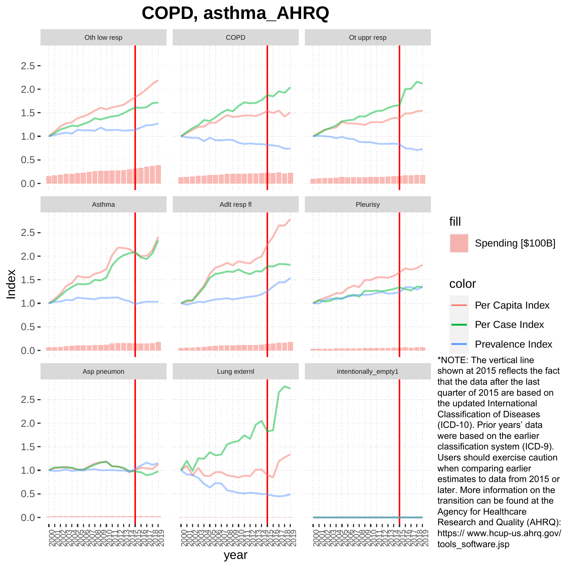**COPD, asthma\_AHRQ**

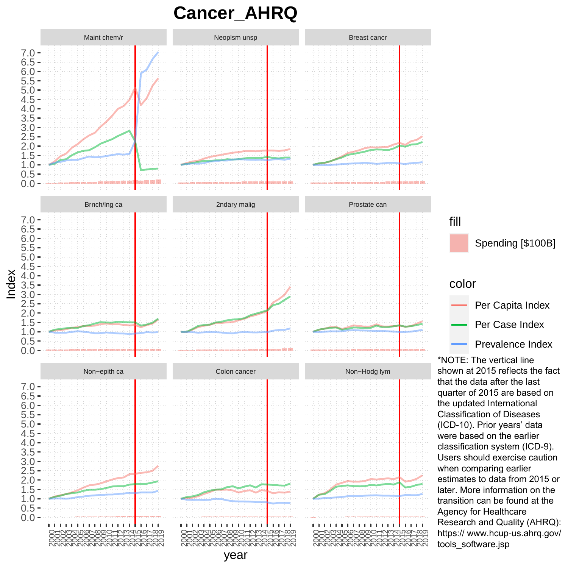## **Cancer\_AHRQ**

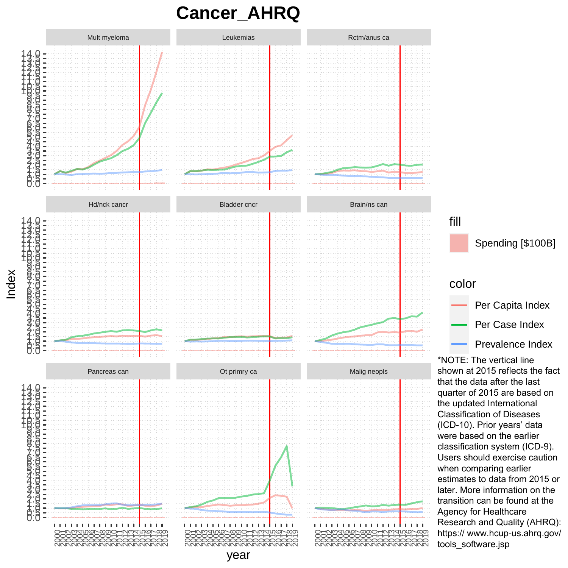## **Cancer\_AHRQ**



Spending [\$100B] Per Capita Index Per Case Index Prevalence Index

\*NOTE: The vertical line shown at 2015 reflects the fact that the data after the last quarter of 2015 are based on the updated International Classification of Diseases (ICD-10). Prior years' data were based on the earlier classification system (ICD-9). Users should exercise caution when comparing earlier estimates to data from 2015 or later. More information on the transition can be found at the Agency for Healthcare Research and Quality (AHRQ): https:// www.hcup-us.ahrq.gov/ tools\_software.jsp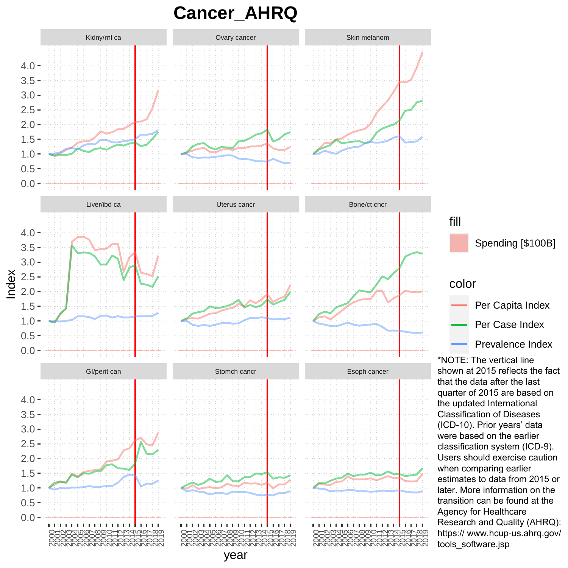#### **Cancer\_AHRQ**

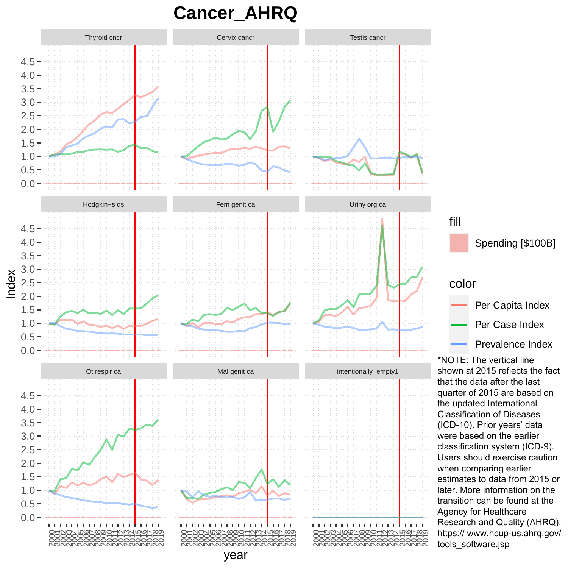**Cancer\_AHRQ**

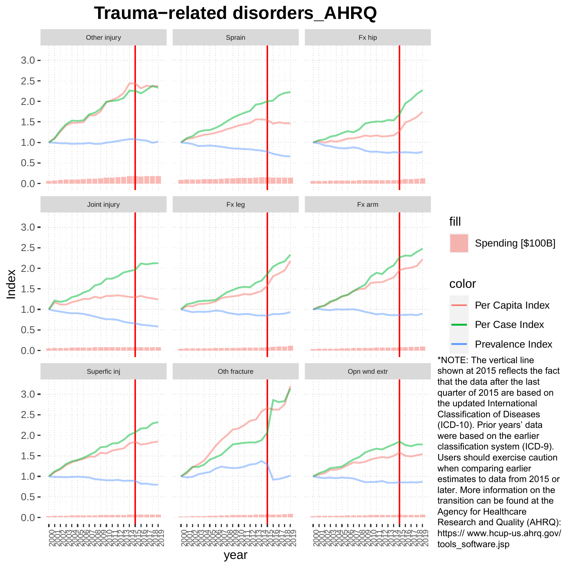#### **Trauma−related disorders\_AHRQ**

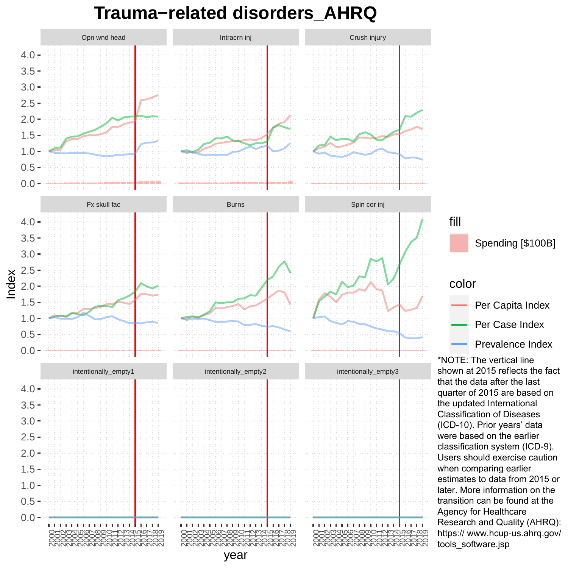#### **Trauma−related disorders\_AHRQ**

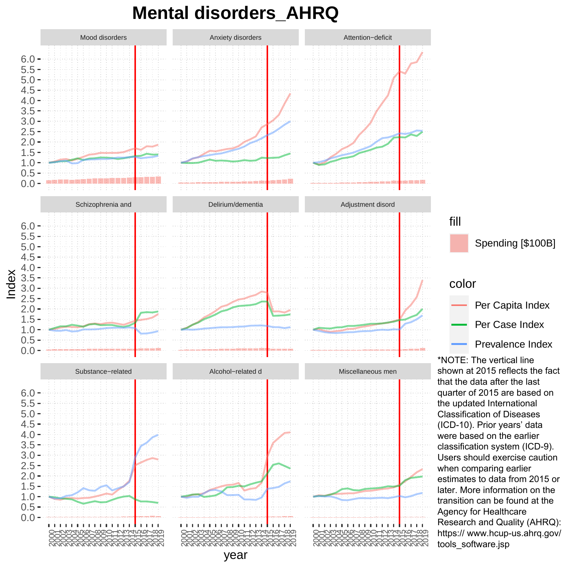### **Mental disorders\_AHRQ**

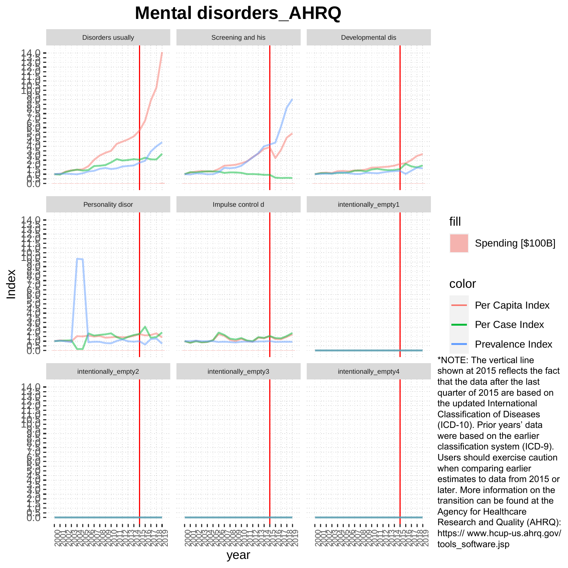#### **Mental disorders\_AHRQ**

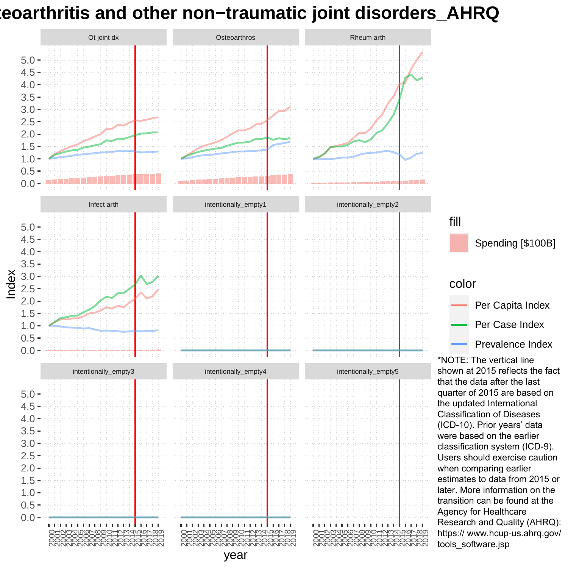### **Osteoarthritis and other non−traumatic joint disorders\_AHRQ**

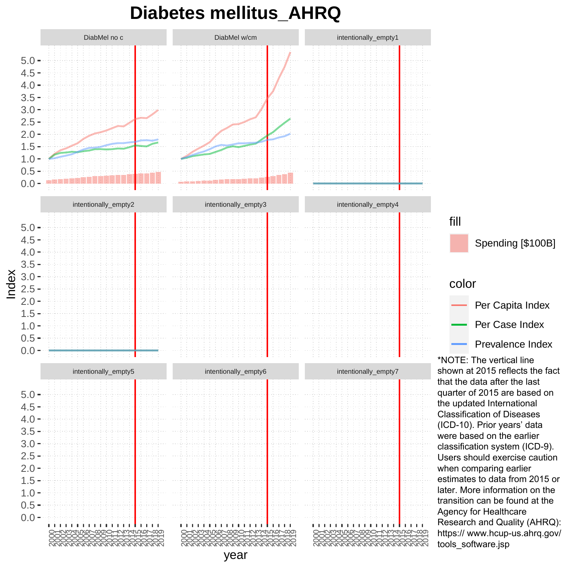### **Diabetes mellitus\_AHRQ**

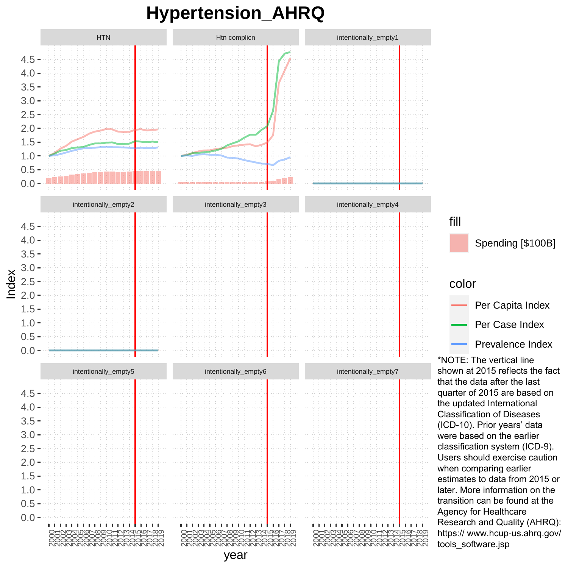## **Hypertension\_AHRQ**



Spending [\$100B] color Per Capita Index Per Case Index Prevalence Index

\*NOTE: The vertical line shown at 2015 reflects the fact that the data after the last quarter of 2015 are based on the updated International Classification of Diseases (ICD-10). Prior years' data were based on the earlier classification system (ICD-9). Users should exercise caution when comparing earlier estimates to data from 2015 or later. More information on the transition can be found at the Agency for Healthcare Research and Quality (AHRQ): https:// www.hcup-us.ahrq.gov/ tools\_software.jsp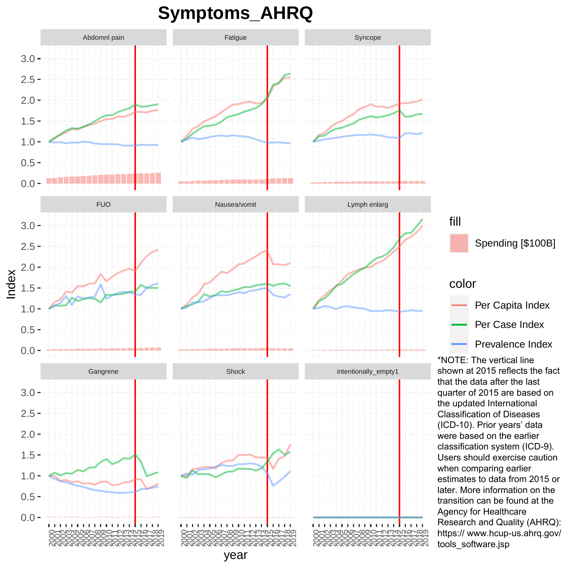### **Symptoms\_AHRQ**

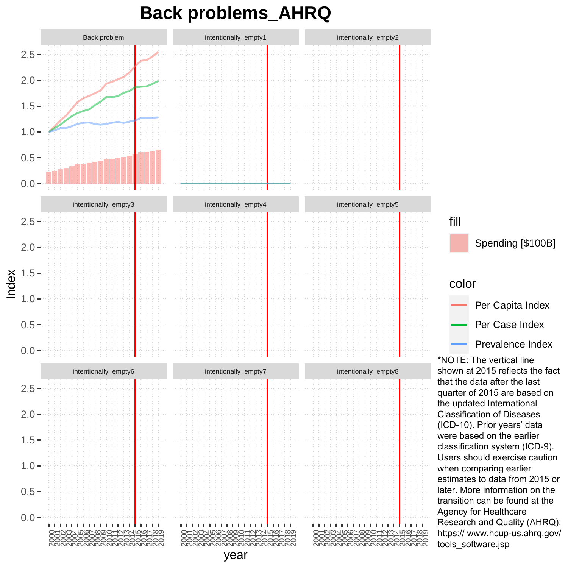### **Back problems\_AHRQ**

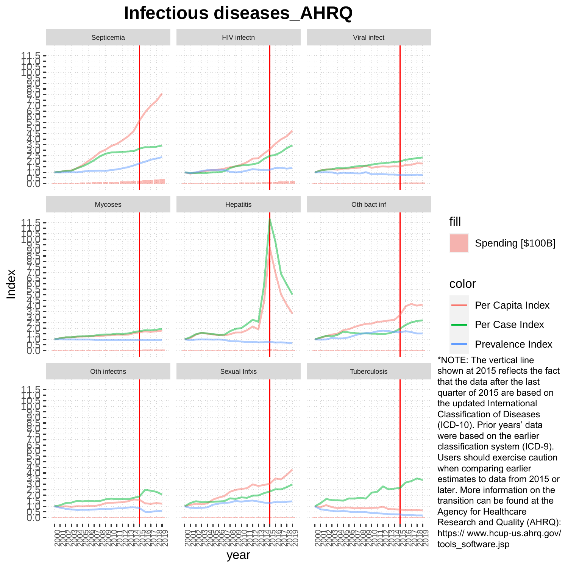#### **Infectious diseases\_AHRQ**

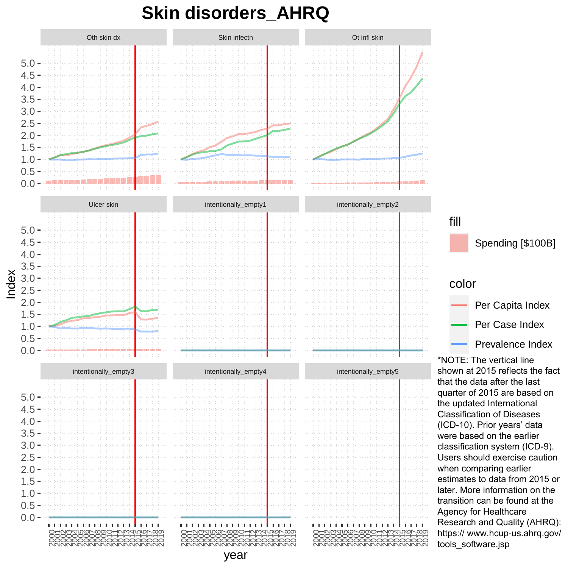### **Skin disorders\_AHRQ**

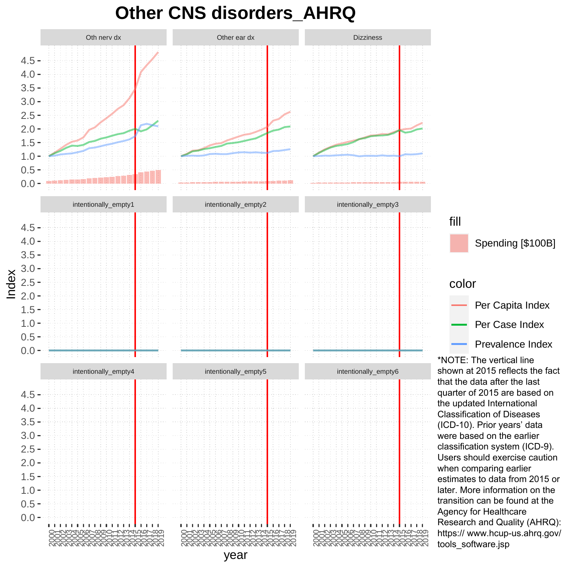### **Other CNS disorders\_AHRQ**

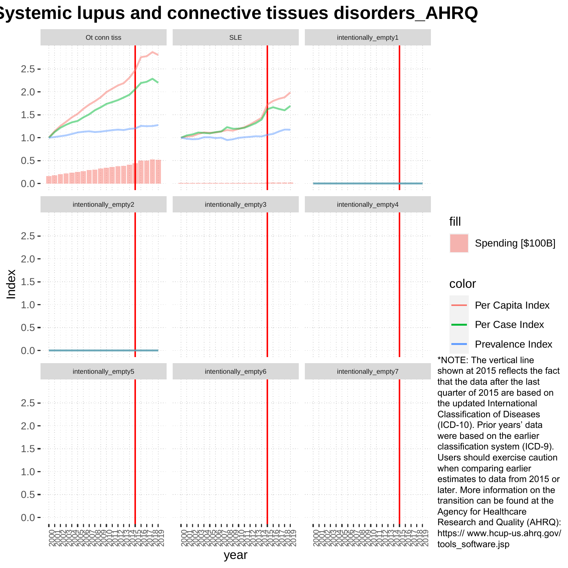## **Systemic lupus and connective tissues disorders\_AHRQ**

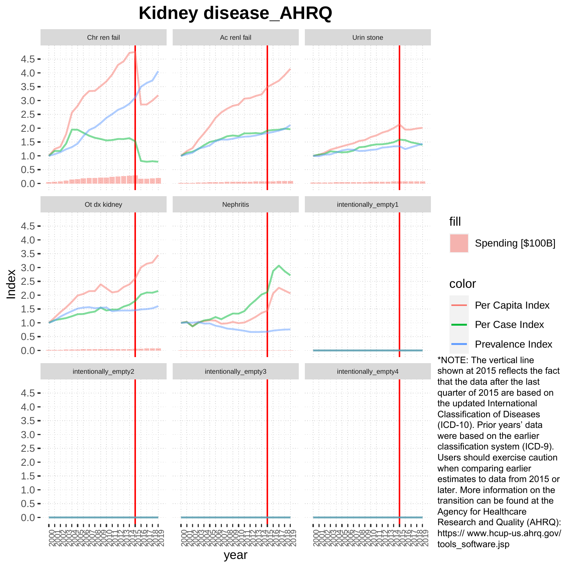### **Kidney disease\_AHRQ**

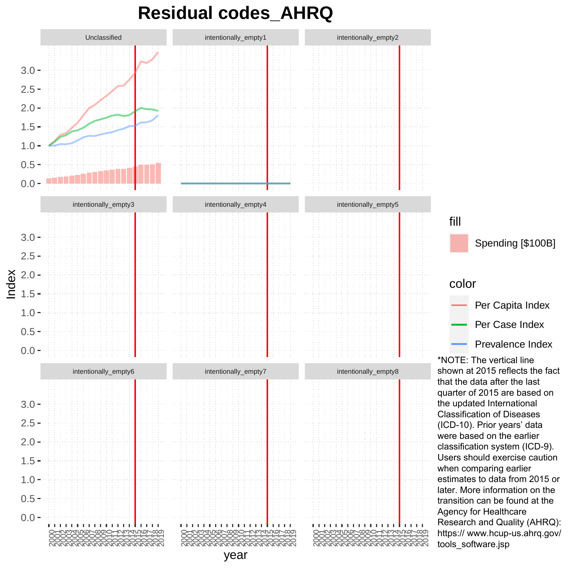### **Residual codes\_AHRQ**

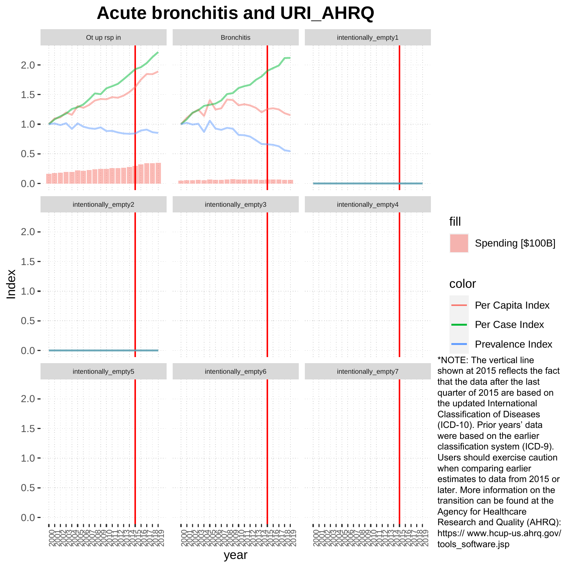#### **Acute bronchitis and URI\_AHRQ**

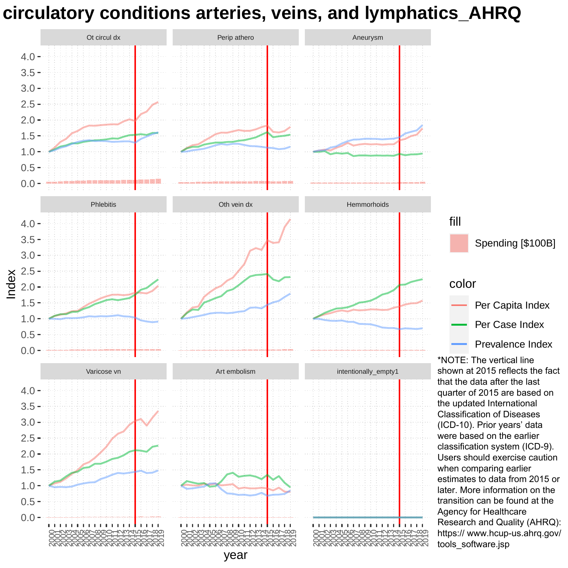### **Other circulatory conditions arteries, veins, and lymphatics\_AHRQ**

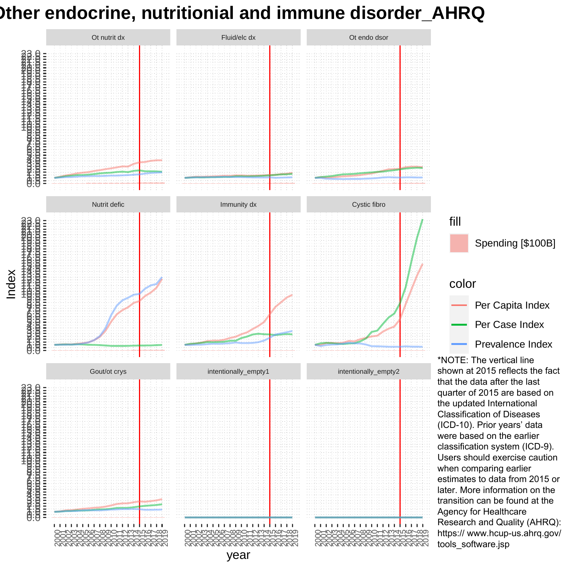## **Other endocrine, nutritionial and immune disorder\_AHRQ**

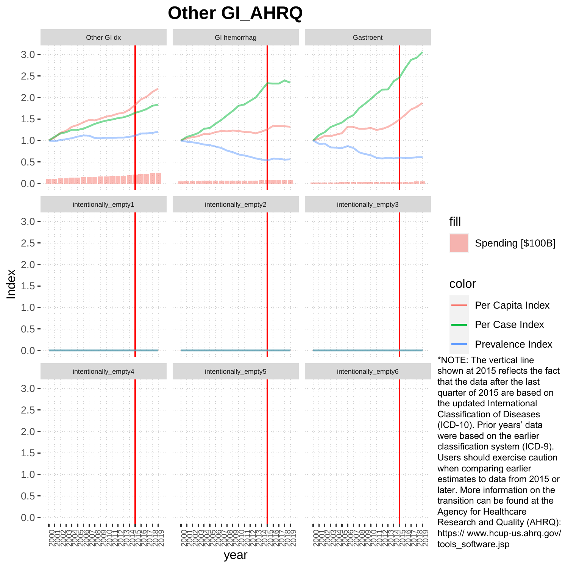#### **Other GI\_AHRQ**

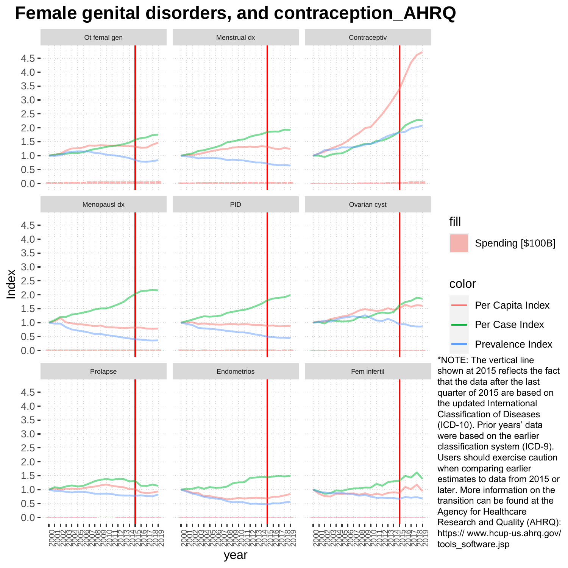## **Female genital disorders, and contraception\_AHRQ**

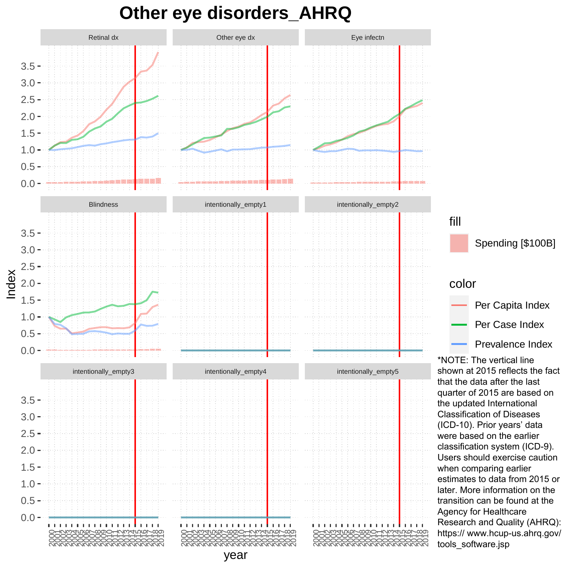#### **Other eye disorders\_AHRQ**

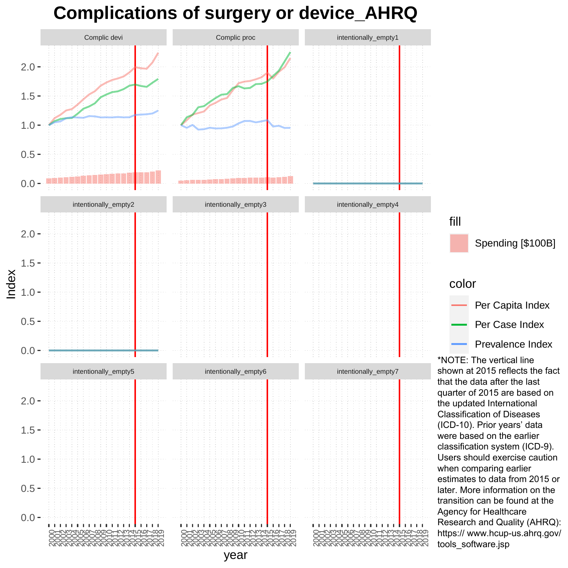# **Complications of surgery or device\_AHRQ**

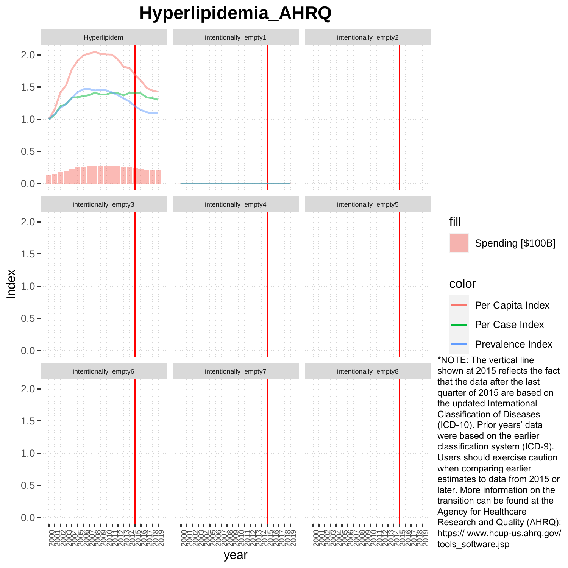# **Hyperlipidemia\_AHRQ**

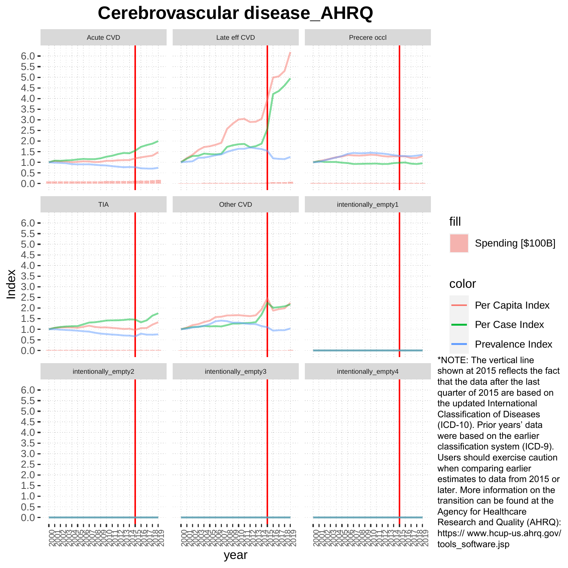#### **Cerebrovascular disease\_AHRQ**

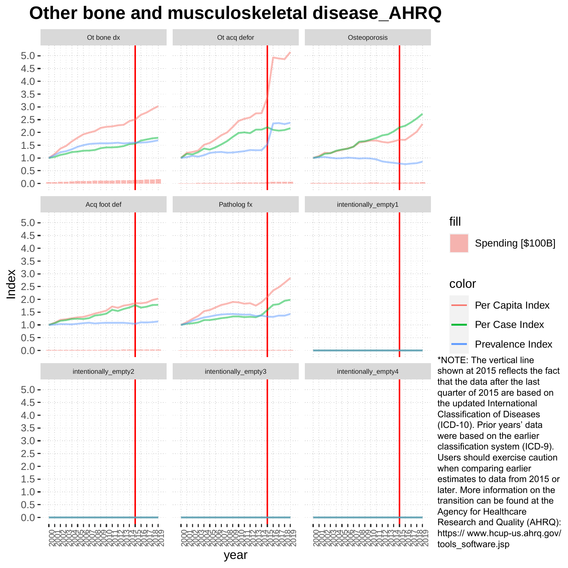## **Other bone and musculoskeletal disease\_AHRQ**

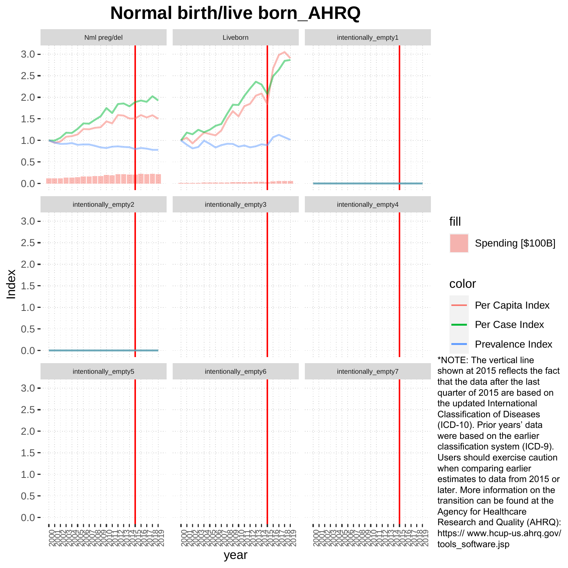#### **Normal birth/live born\_AHRQ**

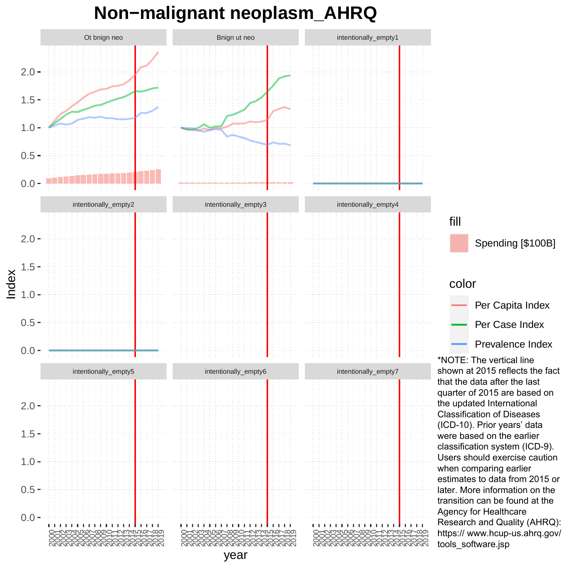### **Non−malignant neoplasm\_AHRQ**

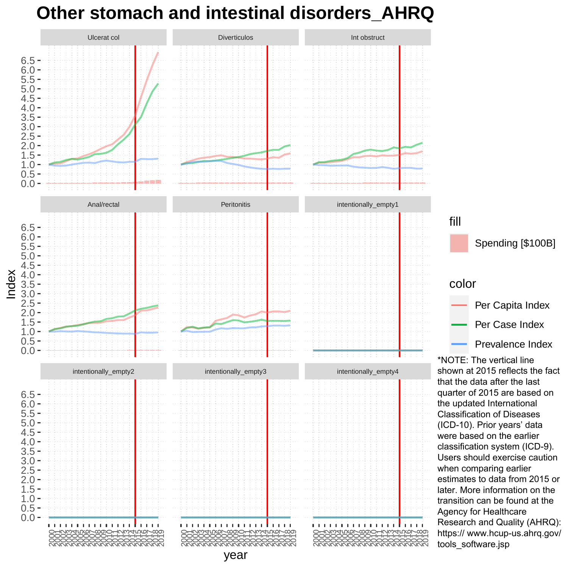### **Other stomach and intestinal disorders\_AHRQ**

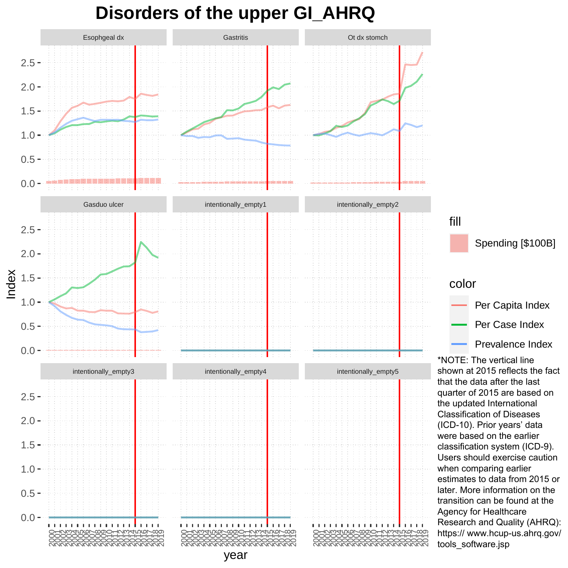# **Disorders of the upper GI\_AHRQ**

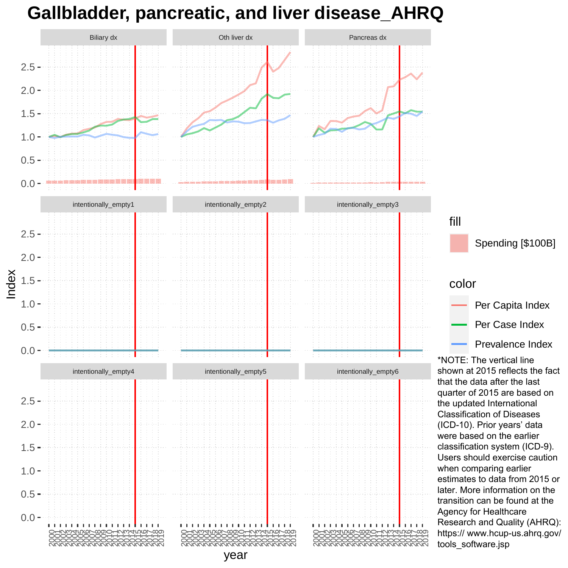### **Gallbladder, pancreatic, and liver disease\_AHRQ**

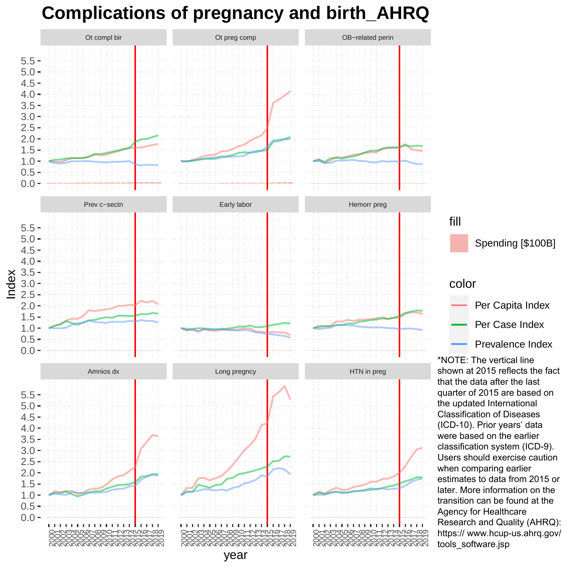# **Complications of pregnancy and birth\_AHRQ**

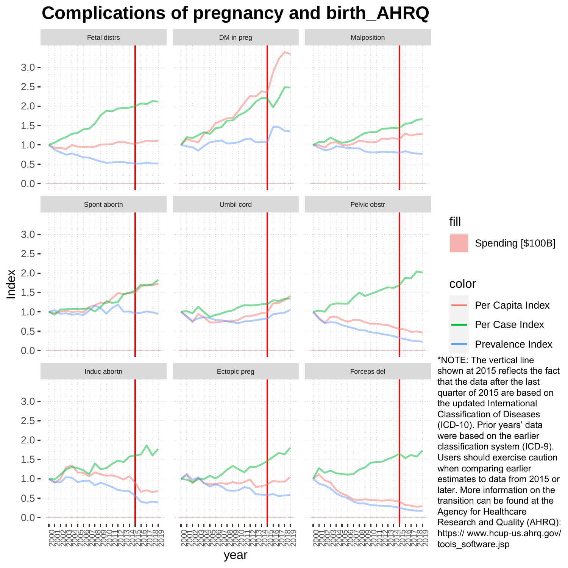# **Complications of pregnancy and birth\_AHRQ**

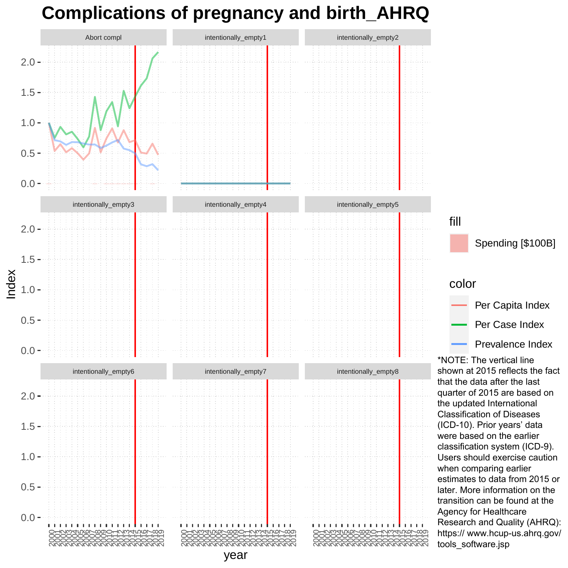# **Complications of pregnancy and birth\_AHRQ**

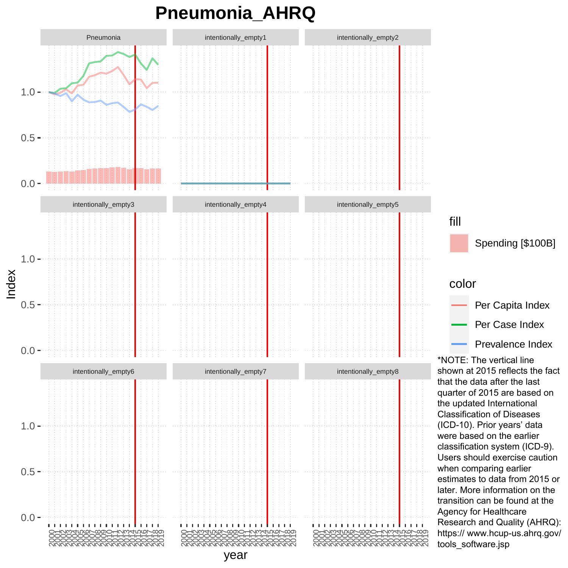### **Pneumonia\_AHRQ**

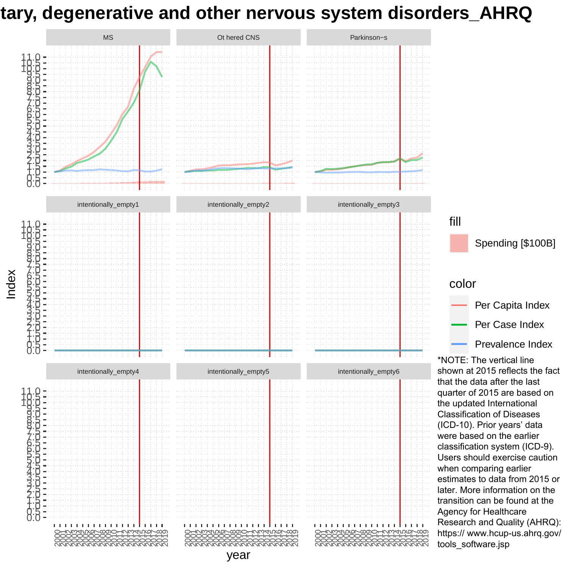### **Hereditary, degenerative and other nervous system disorders\_AHRQ**

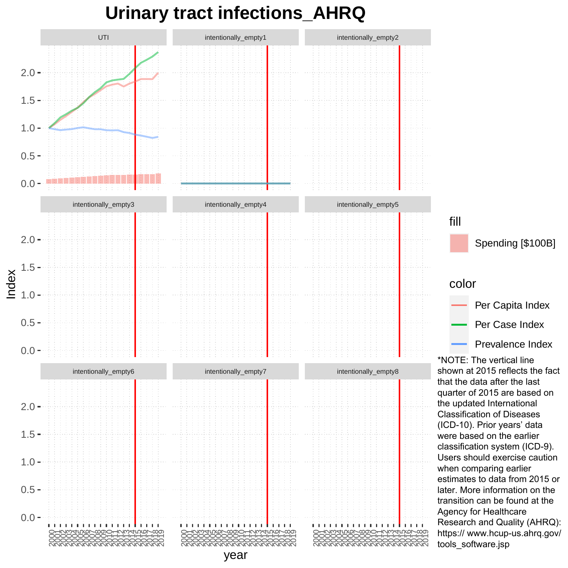# **Urinary tract infections\_AHRQ**

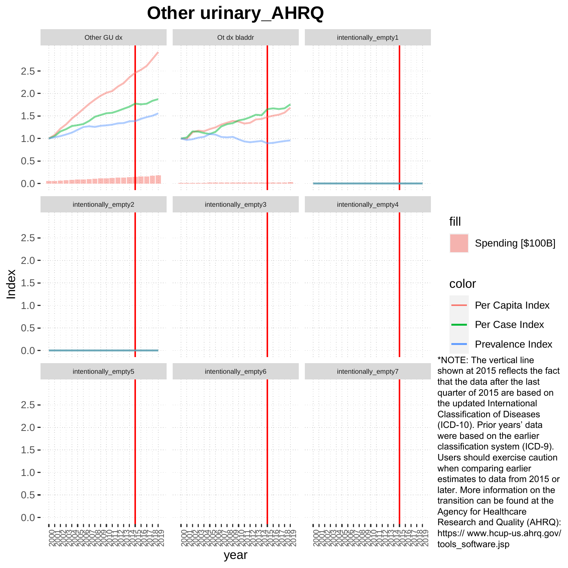### **Other urinary\_AHRQ**

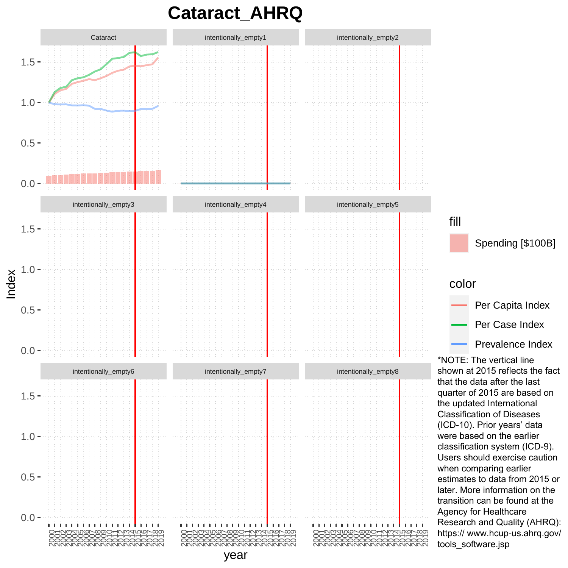### **Cataract\_AHRQ**

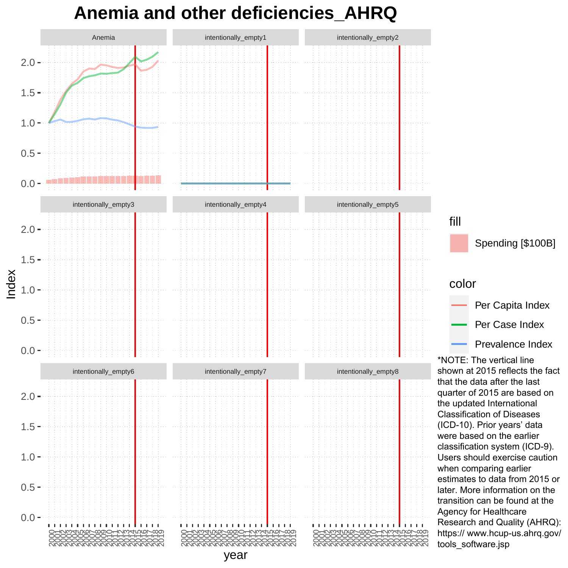# **Anemia and other deficiencies\_AHRQ**

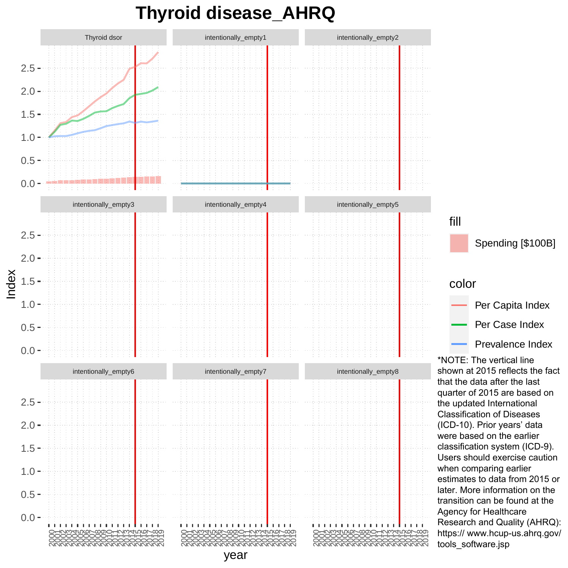### **Thyroid disease\_AHRQ**

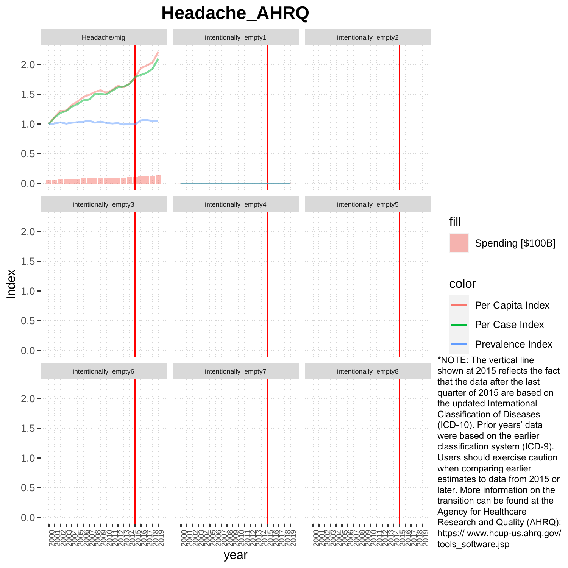## **Headache\_AHRQ**

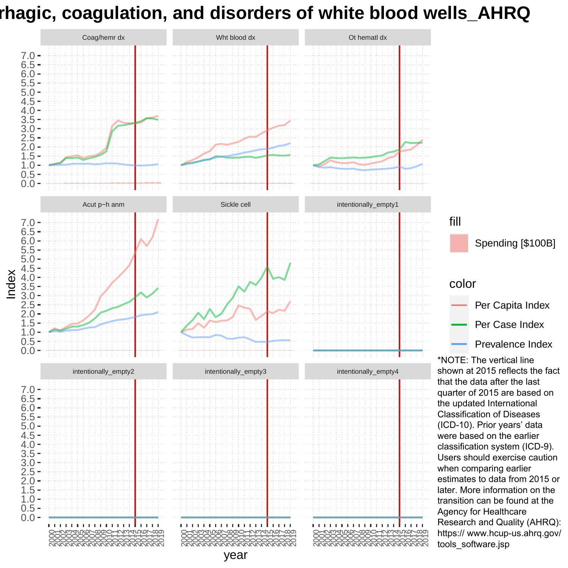### **Hemorrhagic, coagulation, and disorders of white blood wells\_AHRQ**

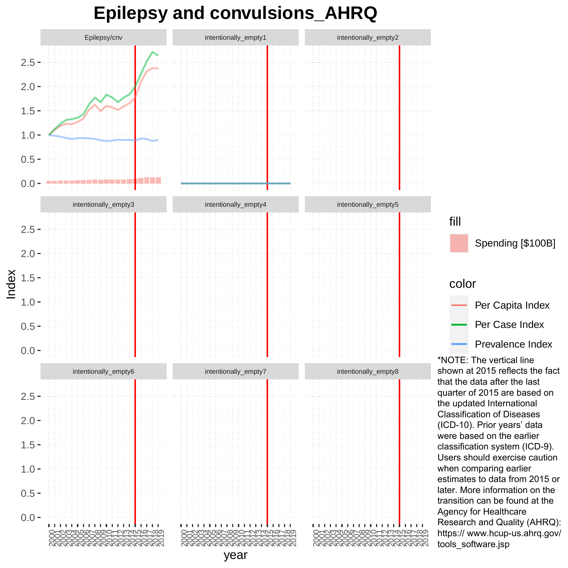## **Epilepsy and convulsions\_AHRQ**

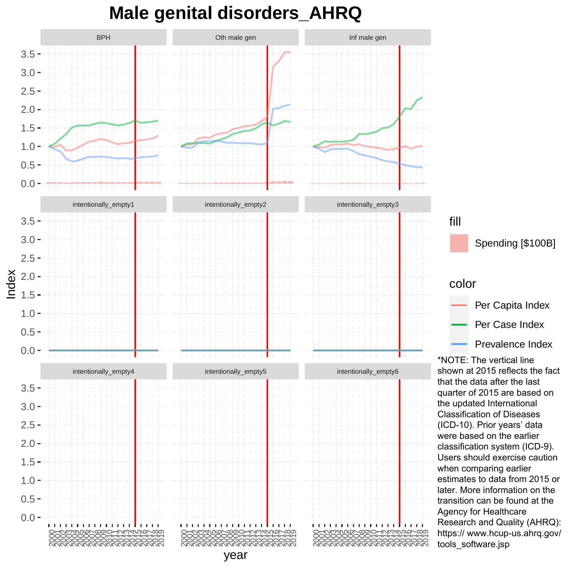### **Male genital disorders\_AHRQ**

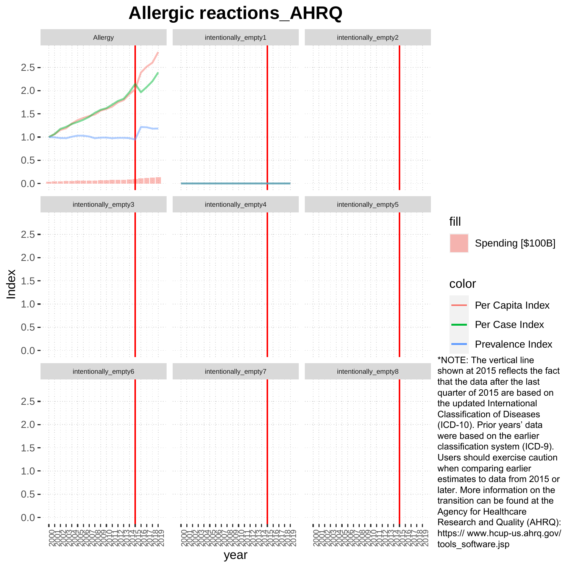### **Allergic reactions\_AHRQ**

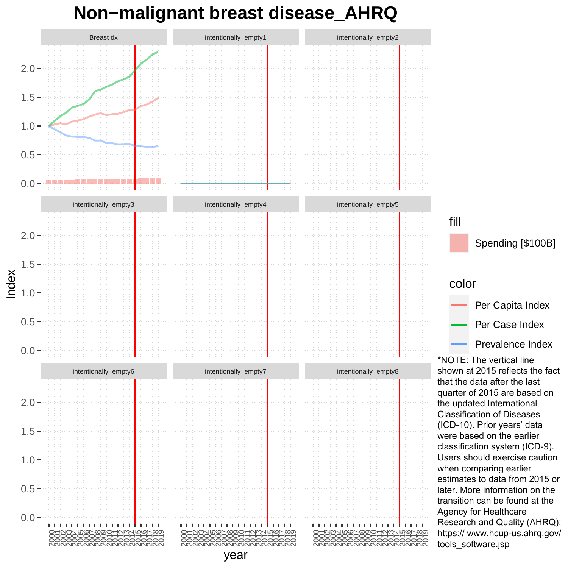### **Non−malignant breast disease\_AHRQ**

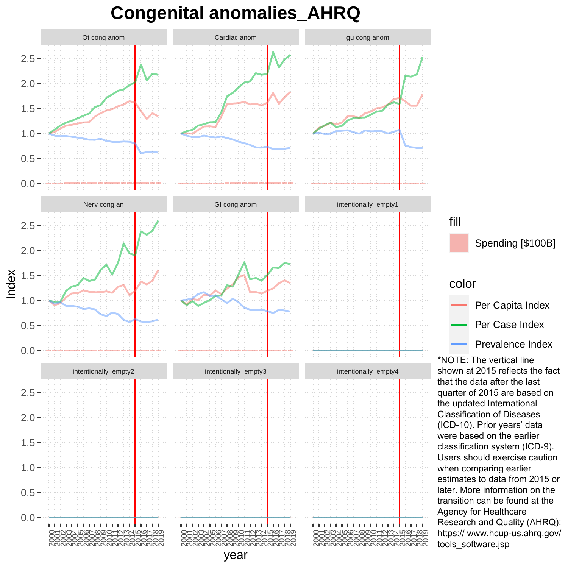### **Congenital anomalies\_AHRQ**

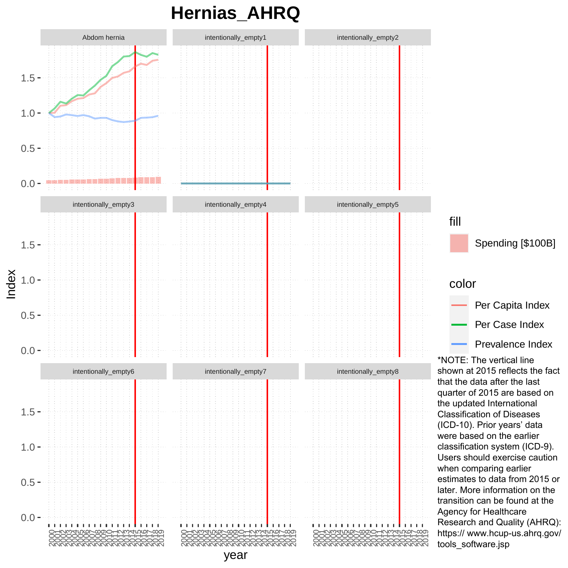# **Hernias\_AHRQ**

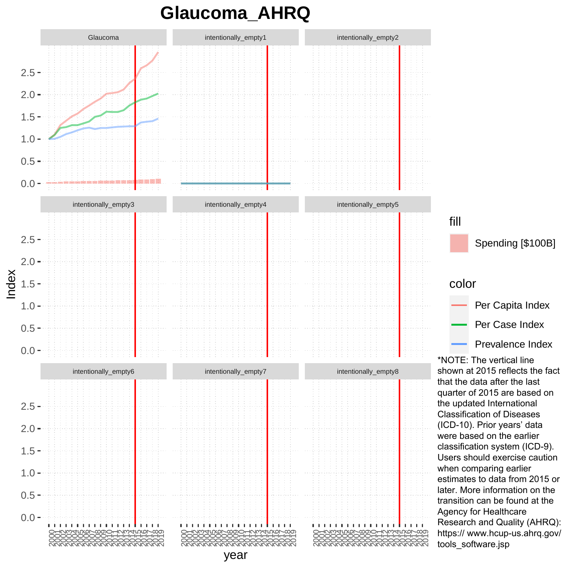## **Glaucoma\_AHRQ**

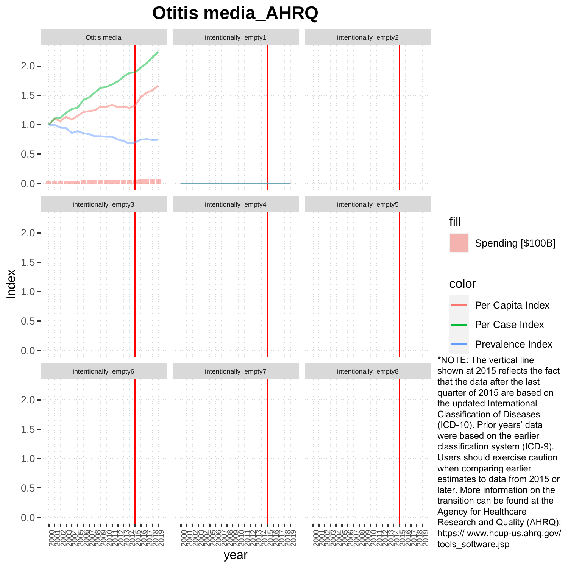# **Otitis media\_AHRQ**

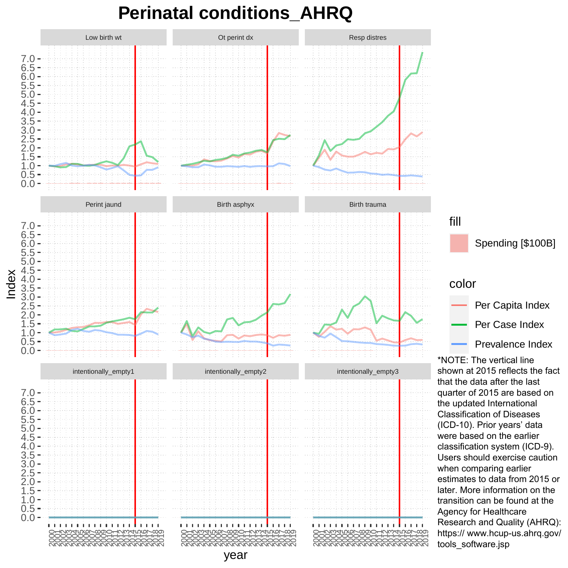### **Perinatal conditions\_AHRQ**

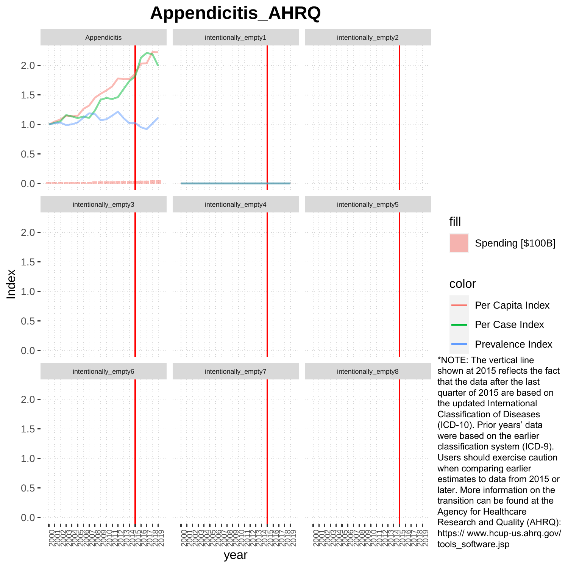# **Appendicitis\_AHRQ**

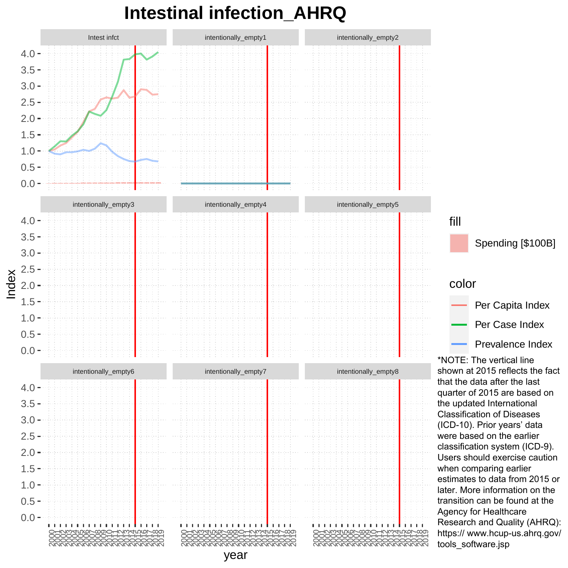## **Intestinal infection\_AHRQ**



fill Spending [\$100B] color Per Capita Index Per Case Index Prevalence Index

\*NOTE: The vertical line shown at 2015 reflects the fact that the data after the last quarter of 2015 are based on the updated International Classification of Diseases (ICD-10). Prior years' data were based on the earlier classification system (ICD-9). Users should exercise caution when comparing earlier estimates to data from 2015 or later. More information on the transition can be found at the Agency for Healthcare Research and Quality (AHRQ): https:// www.hcup-us.ahrq.gov/ tools\_software.jsp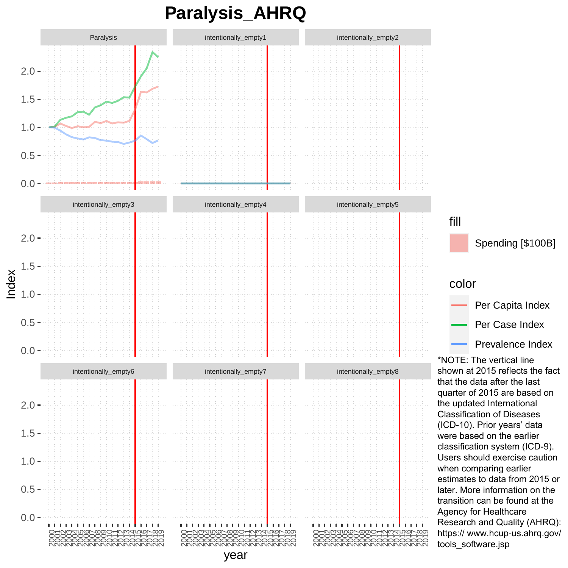# **Paralysis\_AHRQ**



fill Spending [\$100B] color Per Capita Index Per Case Index

Prevalence Index

\*NOTE: The vertical line shown at 2015 reflects the fact that the data after the last quarter of 2015 are based on the updated International Classification of Diseases (ICD-10). Prior years' data were based on the earlier classification system (ICD-9). Users should exercise caution when comparing earlier estimates to data from 2015 or later. More information on the transition can be found at the Agency for Healthcare Research and Quality (AHRQ): https:// www.hcup-us.ahrq.gov/ tools\_software.jsp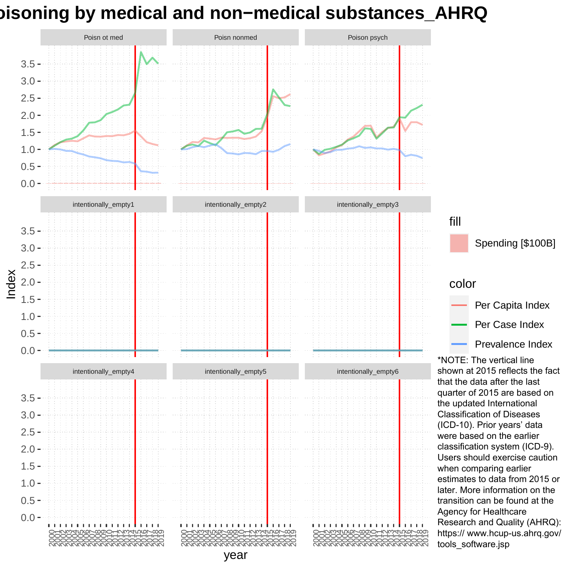### **Poisoning by medical and non−medical substances\_AHRQ**

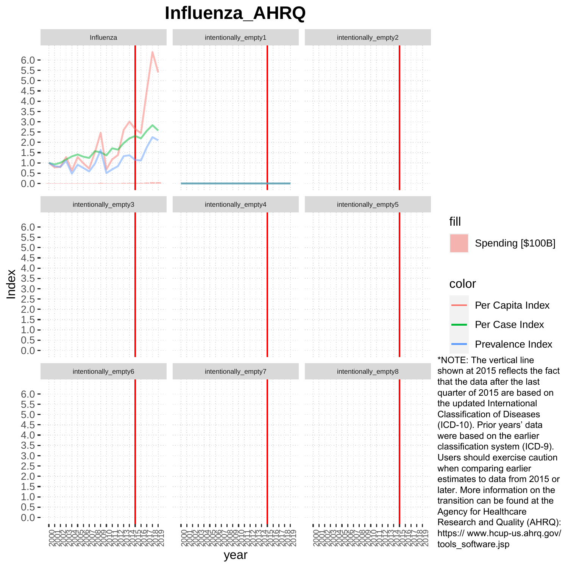# **Influenza\_AHRQ**



fill Spending [\$100B] color Per Capita Index Per Case Index Prevalence Index

\*NOTE: The vertical line shown at 2015 reflects the fact that the data after the last quarter of 2015 are based on the updated International Classification of Diseases (ICD-10). Prior years' data were based on the earlier classification system (ICD-9). Users should exercise caution when comparing earlier estimates to data from 2015 or later. More information on the transition can be found at the Agency for Healthcare Research and Quality (AHRQ): https:// www.hcup-us.ahrq.gov/ tools\_software.jsp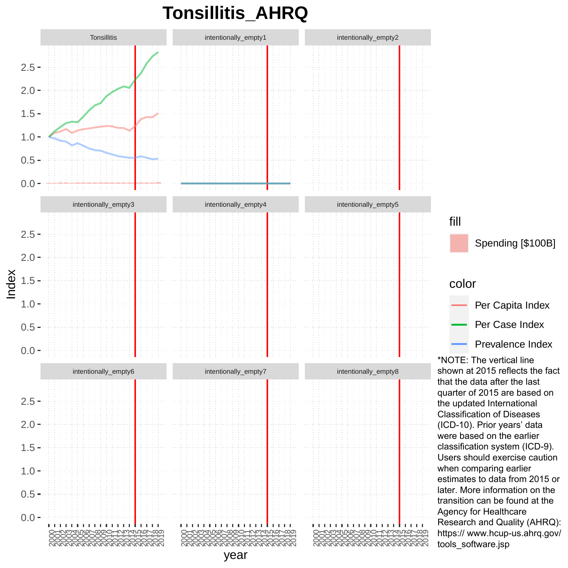# **Tonsillitis\_AHRQ**



Spending [\$100B] Per Capita Index Per Case Index Prevalence Index

\*NOTE: The vertical line shown at 2015 reflects the fact that the data after the last quarter of 2015 are based on the updated International Classification of Diseases (ICD-10). Prior years' data were based on the earlier classification system (ICD-9). Users should exercise caution when comparing earlier estimates to data from 2015 or later. More information on the transition can be found at the Agency for Healthcare Research and Quality (AHRQ): https:// www.hcup-us.ahrq.gov/ tools\_software.jsp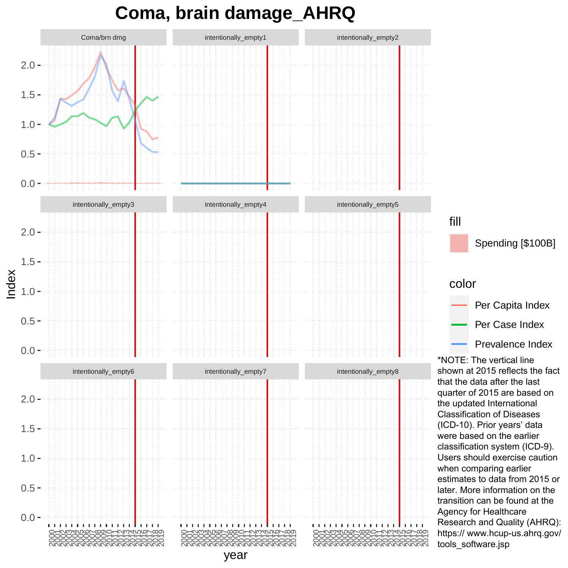## **Coma, brain damage\_AHRQ**

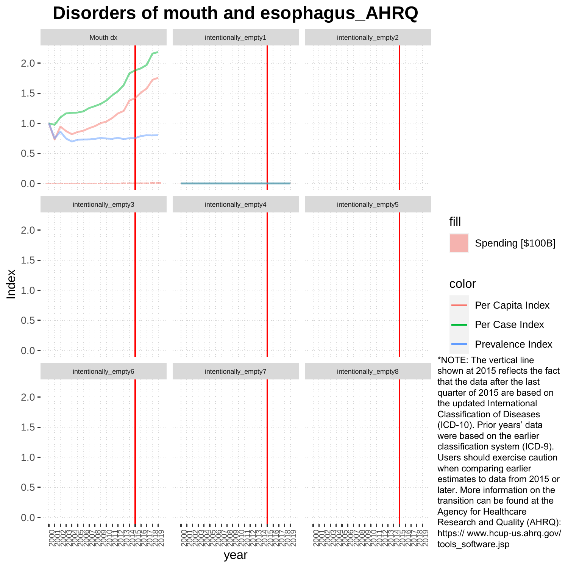#### **Disorders of mouth and esophagus\_AHRQ**

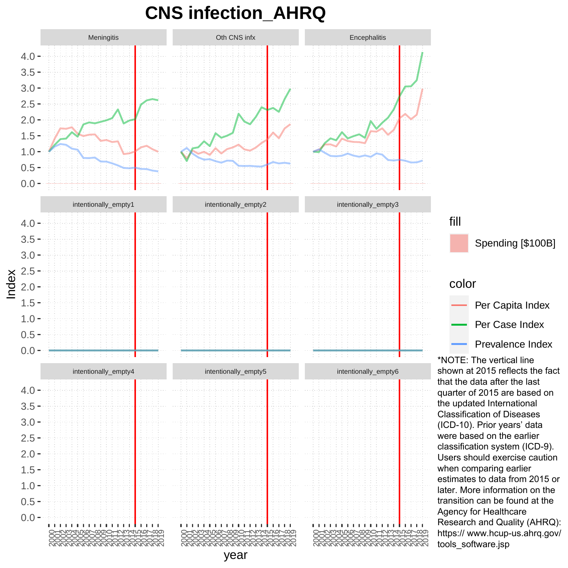# **CNS infection\_AHRQ**

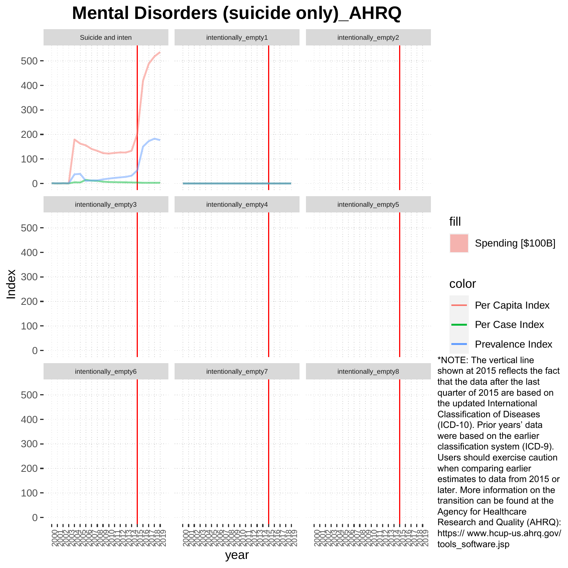## **Mental Disorders (suicide only)\_AHRQ**